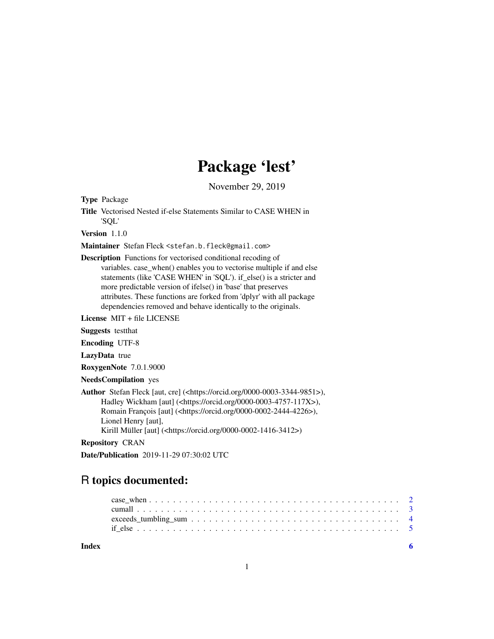## Package 'lest'

November 29, 2019

<span id="page-0-0"></span>Type Package

Title Vectorised Nested if-else Statements Similar to CASE WHEN in 'SQL'

Version 1.1.0

Maintainer Stefan Fleck <stefan.b.fleck@gmail.com>

Description Functions for vectorised conditional recoding of variables. case\_when() enables you to vectorise multiple if and else statements (like 'CASE WHEN' in 'SQL'). if\_else() is a stricter and more predictable version of ifelse() in 'base' that preserves attributes. These functions are forked from 'dplyr' with all package dependencies removed and behave identically to the originals.

License MIT + file LICENSE

Suggests testthat

Encoding UTF-8

LazyData true

RoxygenNote 7.0.1.9000

NeedsCompilation yes

Author Stefan Fleck [aut, cre] (<https://orcid.org/0000-0003-3344-9851>), Hadley Wickham [aut] (<https://orcid.org/0000-0003-4757-117X>), Romain François [aut] (<https://orcid.org/0000-0002-2444-4226>), Lionel Henry [aut], Kirill Müller [aut] (<https://orcid.org/0000-0002-1416-3412>)

Repository CRAN

Date/Publication 2019-11-29 07:30:02 UTC

### R topics documented:

**Index** [6](#page-5-0) **6**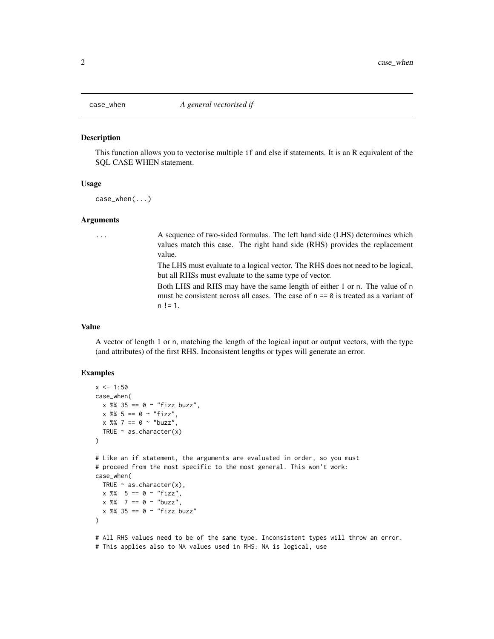<span id="page-1-0"></span>

#### Description

This function allows you to vectorise multiple if and else if statements. It is an R equivalent of the SQL CASE WHEN statement.

#### Usage

case\_when(...)

#### Arguments

... A sequence of two-sided formulas. The left hand side (LHS) determines which values match this case. The right hand side (RHS) provides the replacement value.

> The LHS must evaluate to a logical vector. The RHS does not need to be logical, but all RHSs must evaluate to the same type of vector.

> Both LHS and RHS may have the same length of either 1 or n. The value of n must be consistent across all cases. The case of  $n == 0$  is treated as a variant of  $n := 1$ .

#### Value

A vector of length 1 or n, matching the length of the logical input or output vectors, with the type (and attributes) of the first RHS. Inconsistent lengths or types will generate an error.

#### Examples

```
x < -1:50case_when(
  x %% 35 == 0 ~ "fizz buzz",
  x \, %\, 5 = 0 \, \sim \, "fizz",x \, 8\, 7 = 0 \sim "buzz",
  TRUE \sim as.character(x)
)
# Like an if statement, the arguments are evaluated in order, so you must
# proceed from the most specific to the most general. This won't work:
case_when(
  TRUE \sim as.character(x),
  x \, 8\% = 5 == 0 \sim "fizz",x \, 8\% 7 == 0 ~ "buzz",
  x %% 35 == 0 ~ "fizz buzz"
\lambda# All RHS values need to be of the same type. Inconsistent types will throw an error.
```

```
# This applies also to NA values used in RHS: NA is logical, use
```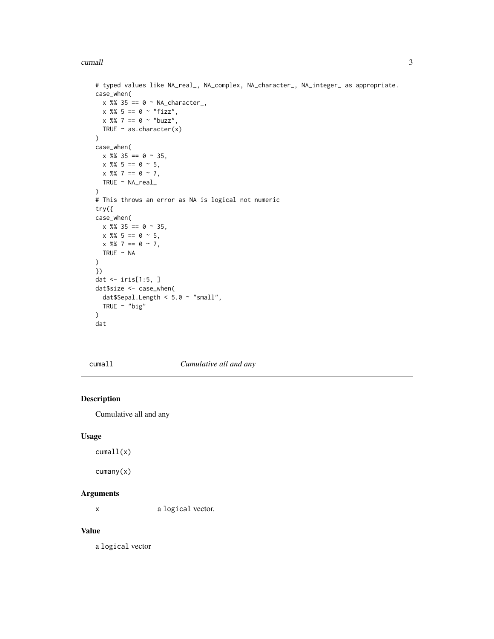#### <span id="page-2-0"></span>cumall 3

```
# typed values like NA_real_, NA_complex, NA_character_, NA_integer_ as appropriate.
case_when(
 x %% 35 == 0 ~ NA_character_,
 x %% 5 == 0 ~ "fizz",
 x \, 8 \, 8 \, 7 = 0 \sim "buzz",
  TRUE \sim as.character(x)
)
case_when(
 x %% 35 == 0 ~ 35,
 x % 5 == 0 ~ 5,x \frac{8\%}{7} = 0 \sim 7,
 TRUE ~ NA_real_
)
# This throws an error as NA is logical not numeric
try({
case_when(
 x %% 35 == 0 ~ 35,
 x % 5 == 0 ~ 5,x % 7 = 0 ~ 7,TRUE ~ NA
\lambda})
dat <- iris[1:5, ]
dat$size <- case_when(
 dat$Sepal.Length < 5.0 ~ "small",
  TRUE \sim "big"
\mathcal{L}dat
```
cumall *Cumulative all and any*

#### Description

Cumulative all and any

#### Usage

cumall(x)

cumany(x)

#### Arguments

x a logical vector.

#### Value

a logical vector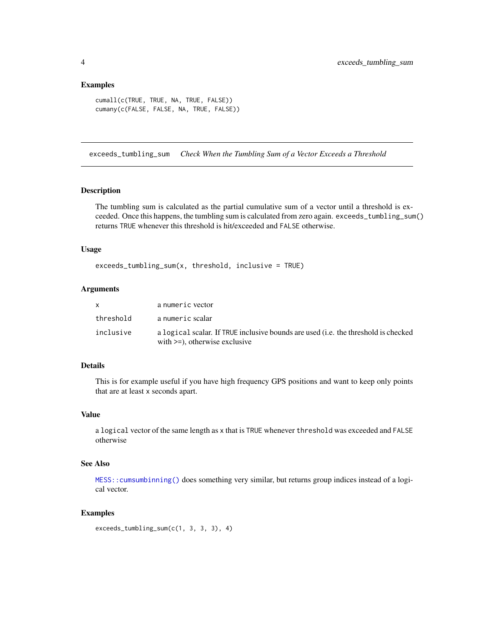#### <span id="page-3-0"></span>Examples

```
cumall(c(TRUE, TRUE, NA, TRUE, FALSE))
cumany(c(FALSE, FALSE, NA, TRUE, FALSE))
```
exceeds\_tumbling\_sum *Check When the Tumbling Sum of a Vector Exceeds a Threshold*

#### Description

The tumbling sum is calculated as the partial cumulative sum of a vector until a threshold is exceeded. Once this happens, the tumbling sum is calculated from zero again. exceeds\_tumbling\_sum() returns TRUE whenever this threshold is hit/exceeded and FALSE otherwise.

#### Usage

exceeds\_tumbling\_sum(x, threshold, inclusive = TRUE)

#### Arguments

| x.        | a numeric vector                                                                                                       |
|-----------|------------------------------------------------------------------------------------------------------------------------|
| threshold | a numeric scalar                                                                                                       |
| inclusive | a logical scalar. If TRUE inclusive bounds are used (i.e. the threshold is checked<br>with $>=$ ), otherwise exclusive |

#### Details

This is for example useful if you have high frequency GPS positions and want to keep only points that are at least x seconds apart.

#### Value

a logical vector of the same length as x that is TRUE whenever threshold was exceeded and FALSE otherwise

#### See Also

[MESS::cumsumbinning\(\)](#page-0-0) does something very similar, but returns group indices instead of a logical vector.

#### Examples

exceeds\_tumbling\_sum(c(1, 3, 3, 3), 4)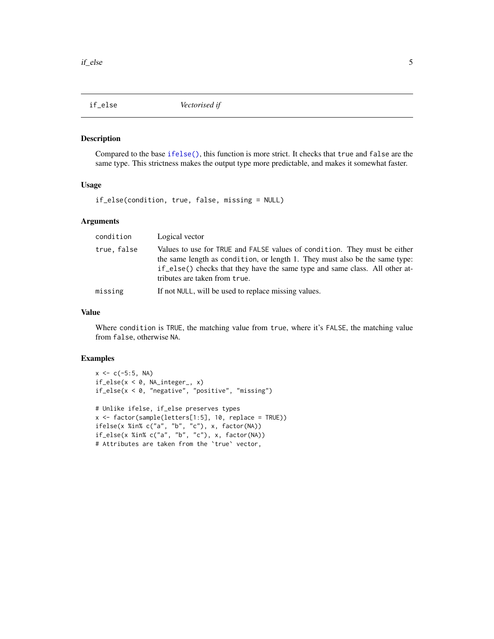<span id="page-4-0"></span>

#### Description

Compared to the base [ifelse\(\)](#page-0-0), this function is more strict. It checks that true and false are the same type. This strictness makes the output type more predictable, and makes it somewhat faster.

#### Usage

if\_else(condition, true, false, missing = NULL)

#### Arguments

| condition  | Logical vector                                                                                                                                                                                                                                                            |
|------------|---------------------------------------------------------------------------------------------------------------------------------------------------------------------------------------------------------------------------------------------------------------------------|
| true.false | Values to use for TRUE and FALSE values of condition. They must be either<br>the same length as condition, or length 1. They must also be the same type:<br>if _else() checks that they have the same type and same class. All other at-<br>tributes are taken from true. |
| missing    | If not NULL, will be used to replace missing values.                                                                                                                                                                                                                      |

#### Value

Where condition is TRUE, the matching value from true, where it's FALSE, the matching value from false, otherwise NA.

#### Examples

```
x \leq -c(-5:5, NA)if_else(x < 0, NA_integer_, x)
if_else(x < 0, "negative", "positive", "missing")
# Unlike ifelse, if_else preserves types
x \le factor(sample(letters[1:5], 10, replace = TRUE))
ifelse(x %in% c("a", "b", "c"), x, factor(NA))
if_else(x %in% c("a", "b", "c"), x, factor(NA))
# Attributes are taken from the `true` vector,
```